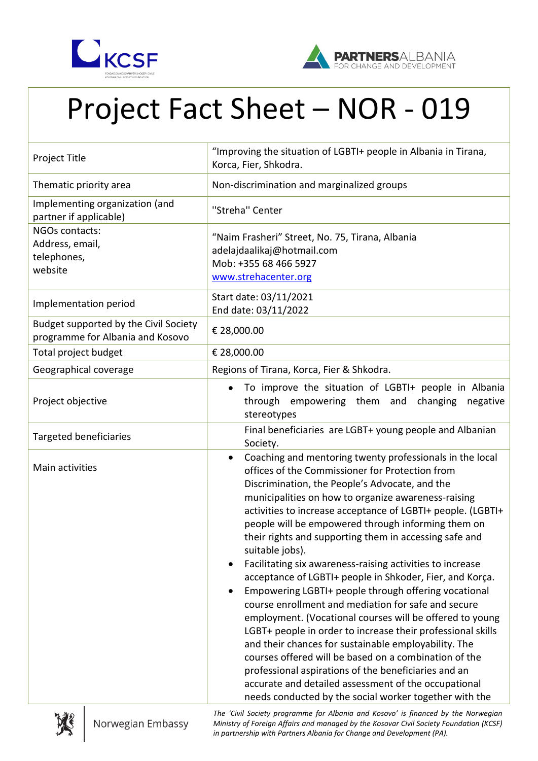



## Project Fact Sheet – NOR - 019

| <b>Project Title</b>                                                      | "Improving the situation of LGBTI+ people in Albania in Tirana,<br>Korca, Fier, Shkodra.                                                                                                                                                                                                                                                                                                                                                                                                                                                                                                                                                                                                                                                                                                                                                                                                                                                                                                                                                                                                          |
|---------------------------------------------------------------------------|---------------------------------------------------------------------------------------------------------------------------------------------------------------------------------------------------------------------------------------------------------------------------------------------------------------------------------------------------------------------------------------------------------------------------------------------------------------------------------------------------------------------------------------------------------------------------------------------------------------------------------------------------------------------------------------------------------------------------------------------------------------------------------------------------------------------------------------------------------------------------------------------------------------------------------------------------------------------------------------------------------------------------------------------------------------------------------------------------|
| Thematic priority area                                                    | Non-discrimination and marginalized groups                                                                                                                                                                                                                                                                                                                                                                                                                                                                                                                                                                                                                                                                                                                                                                                                                                                                                                                                                                                                                                                        |
| Implementing organization (and<br>partner if applicable)                  | "Streha" Center                                                                                                                                                                                                                                                                                                                                                                                                                                                                                                                                                                                                                                                                                                                                                                                                                                                                                                                                                                                                                                                                                   |
| NGOs contacts:<br>Address, email,<br>telephones,<br>website               | "Naim Frasheri" Street, No. 75, Tirana, Albania<br>adelajdaalikaj@hotmail.com<br>Mob: +355 68 466 5927<br>www.strehacenter.org                                                                                                                                                                                                                                                                                                                                                                                                                                                                                                                                                                                                                                                                                                                                                                                                                                                                                                                                                                    |
| Implementation period                                                     | Start date: 03/11/2021<br>End date: 03/11/2022                                                                                                                                                                                                                                                                                                                                                                                                                                                                                                                                                                                                                                                                                                                                                                                                                                                                                                                                                                                                                                                    |
| Budget supported by the Civil Society<br>programme for Albania and Kosovo | € 28,000.00                                                                                                                                                                                                                                                                                                                                                                                                                                                                                                                                                                                                                                                                                                                                                                                                                                                                                                                                                                                                                                                                                       |
| Total project budget                                                      | € 28,000.00                                                                                                                                                                                                                                                                                                                                                                                                                                                                                                                                                                                                                                                                                                                                                                                                                                                                                                                                                                                                                                                                                       |
| Geographical coverage                                                     | Regions of Tirana, Korca, Fier & Shkodra.                                                                                                                                                                                                                                                                                                                                                                                                                                                                                                                                                                                                                                                                                                                                                                                                                                                                                                                                                                                                                                                         |
| Project objective                                                         | To improve the situation of LGBTI+ people in Albania<br>$\bullet$<br>through empowering them and changing<br>negative<br>stereotypes                                                                                                                                                                                                                                                                                                                                                                                                                                                                                                                                                                                                                                                                                                                                                                                                                                                                                                                                                              |
| <b>Targeted beneficiaries</b>                                             | Final beneficiaries are LGBT+ young people and Albanian<br>Society.                                                                                                                                                                                                                                                                                                                                                                                                                                                                                                                                                                                                                                                                                                                                                                                                                                                                                                                                                                                                                               |
| Main activities                                                           | Coaching and mentoring twenty professionals in the local<br>$\bullet$<br>offices of the Commissioner for Protection from<br>Discrimination, the People's Advocate, and the<br>municipalities on how to organize awareness-raising<br>activities to increase acceptance of LGBTI+ people. (LGBTI+<br>people will be empowered through informing them on<br>their rights and supporting them in accessing safe and<br>suitable jobs).<br>Facilitating six awareness-raising activities to increase<br>acceptance of LGBTI+ people in Shkoder, Fier, and Korça.<br>Empowering LGBTI+ people through offering vocational<br>course enrollment and mediation for safe and secure<br>employment. (Vocational courses will be offered to young<br>LGBT+ people in order to increase their professional skills<br>and their chances for sustainable employability. The<br>courses offered will be based on a combination of the<br>professional aspirations of the beneficiaries and an<br>accurate and detailed assessment of the occupational<br>needs conducted by the social worker together with the |



*The 'Civil Society programme for Albania and Kosovo' is financed by the Norwegian Ministry of Foreign Affairs and managed by the Kosovar Civil Society Foundation (KCSF) in partnership with Partners Albania for Change and Development (PA).*